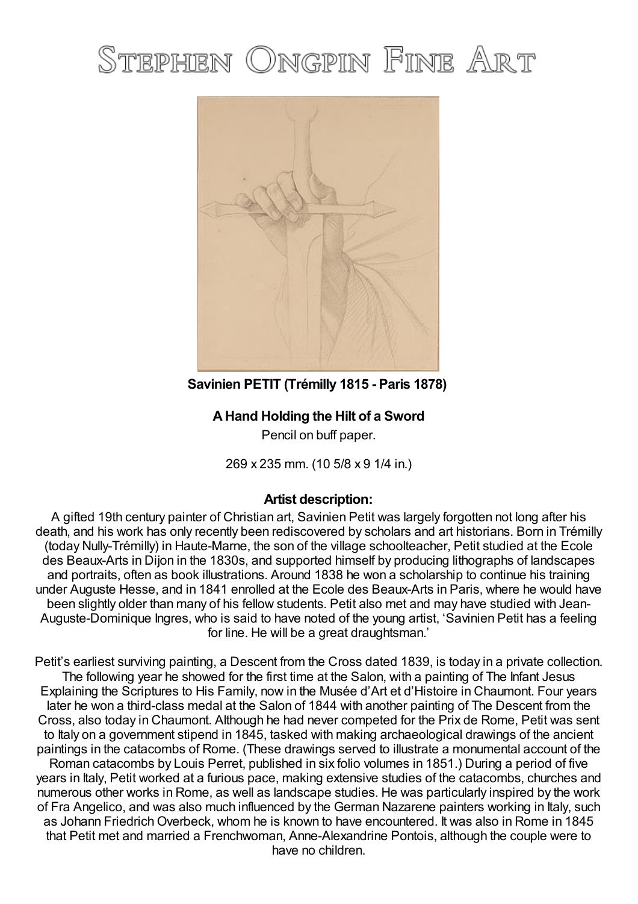## STEPHEN ONGPIN FINE ART



**Savinien PETIT (Trémilly 1815 - Paris 1878)**

## **AHand Holding the Hilt of a Sword**

Pencil on buff paper.

269 x 235 mm. (10 5/8 x 9 1/4 in.)

## **Artist description:**

A gifted 19th century painter of Christian art, Savinien Petit was largely forgotten not long after his death, and his work has only recently been rediscovered by scholars and art historians. Born in Trémilly (today Nully-Trémilly) in Haute-Marne, the son of the village schoolteacher, Petit studied at the Ecole des Beaux-Arts in Dijon in the 1830s, and supported himself by producing lithographs of landscapes and portraits, often as book illustrations. Around 1838 he won a scholarship to continue his training under Auguste Hesse, and in 1841 enrolled at the Ecole des Beaux-Arts in Paris, where he would have been slightly older than many of his fellow students. Petit also met and may have studied with Jean-Auguste-Dominique Ingres, who is said to have noted of the young artist, 'Savinien Petit has a feeling for line. He will be a great draughtsman.'

Petit's earliest surviving painting, a Descent from the Cross dated 1839, is today in a private collection. The following year he showed for the first time at the Salon, with a painting of The Infant Jesus Explaining the Scriptures to His Family, now in the Musée d'Art et d'Histoire in Chaumont. Four years later he won a third-class medal at the Salon of 1844 with another painting of The Descent from the Cross, also today in Chaumont. Although he had never competed for the Prix de Rome, Petit was sent to Italy on a government stipend in 1845, tasked with making archaeological drawings of the ancient paintings in the catacombs of Rome. (These drawings served to illustrate a monumental account of the Roman catacombs by Louis Perret, published in six folio volumes in 1851.) During a period of five years in Italy, Petit worked at a furious pace, making extensive studies of the catacombs, churches and numerous other works in Rome, as well as landscape studies. He was particularly inspired by the work of Fra Angelico, and was also much influenced by the German Nazarene painters working in Italy, such as Johann Friedrich Overbeck, whom he is known to have encountered. It was also in Rome in 1845 that Petit met and married a Frenchwoman, Anne-Alexandrine Pontois, although the couple were to have no children.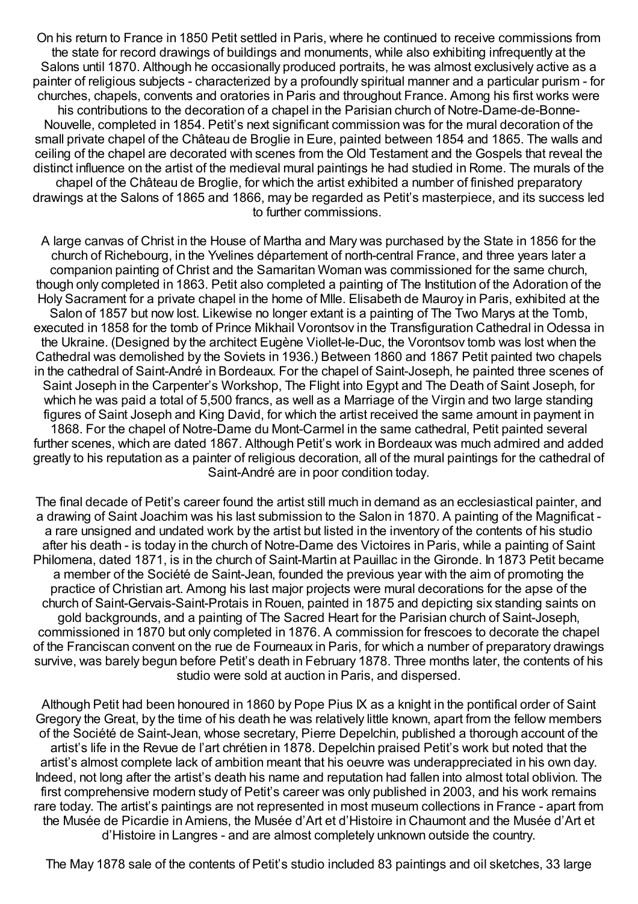On his return to France in 1850 Petit settled in Paris, where he continued to receive commissions from the state for record drawings of buildings and monuments, while also exhibiting infrequently at the Salons until 1870. Although he occasionally produced portraits, he was almost exclusively active as a painter of religious subjects - characterized by a profoundly spiritual manner and a particular purism - for churches, chapels, convents and oratories in Paris and throughout France. Among his first works were his contributions to the decoration of a chapel in the Parisian church of Notre-Dame-de-Bonne-Nouvelle, completed in 1854. Petit's next significant commission was for the mural decoration of the small private chapel of the Château de Broglie in Eure, painted between 1854 and 1865. The walls and ceiling of the chapel are decorated with scenes from the Old Testament and the Gospels that reveal the distinct influence on the artist of the medieval mural paintings he had studied in Rome. The murals of the chapel of the Château de Broglie, for which the artist exhibited a number of finished preparatory drawings at the Salons of 1865 and 1866, may be regarded as Petit's masterpiece, and its success led to further commissions.

A large canvas of Christ in the House of Martha and Mary was purchased by the State in 1856 for the church of Richebourg, in the Yvelines département of north-central France, and three years later a companion painting of Christ and the Samaritan Woman was commissioned for the same church, though only completed in 1863. Petit also completed a painting of The Institution of the Adoration of the Holy Sacrament for a private chapel in the home of Mlle. Elisabeth de Mauroy in Paris, exhibited at the Salon of 1857 but now lost. Likewise no longer extant is a painting of The Two Marys at the Tomb, executed in 1858 for the tomb of Prince Mikhail Vorontsov in the Transfiguration Cathedral in Odessa in the Ukraine. (Designed by the architect Eugène Viollet-le-Duc, the Vorontsov tomb was lost when the Cathedral was demolished by the Soviets in 1936.) Between 1860 and 1867 Petit painted two chapels in the cathedral of Saint-André in Bordeaux. For the chapel of Saint-Joseph, he painted three scenes of Saint Joseph in the Carpenter's Workshop, The Flight into Egypt and The Death of Saint Joseph, for which he was paid a total of 5,500 francs, as well as a Marriage of the Virgin and two large standing figures of Saint Joseph and King David, for which the artist received the same amount in payment in 1868. For the chapel of Notre-Dame du Mont-Carmel in the same cathedral, Petit painted several further scenes, which are dated 1867. Although Petit's work in Bordeaux was much admired and added greatly to his reputation as a painter of religious decoration, all of the mural paintings for the cathedral of Saint-André are in poor condition today.

The final decade of Petit's career found the artist still much in demand as an ecclesiastical painter, and a drawing of Saint Joachim was his last submission to the Salon in 1870. A painting of the Magnificat a rare unsigned and undated work by the artist but listed in the inventory of the contents of his studio after his death - is today in the church of Notre-Dame des Victoires in Paris, while a painting of Saint Philomena, dated 1871, is in the church of Saint-Martin at Pauillac in the Gironde. In 1873 Petit became a member of the Société de Saint-Jean, founded the previous year with the aim of promoting the practice of Christian art. Among his last major projects were mural decorations for the apse of the church of Saint-Gervais-Saint-Protais in Rouen, painted in 1875 and depicting six standing saints on gold backgrounds, and a painting of The Sacred Heart for the Parisian church of Saint-Joseph, commissioned in 1870 but only completed in 1876. A commission for frescoes to decorate the chapel of the Franciscan convent on the rue de Fourneaux in Paris, for which a number of preparatory drawings survive, was barely begun before Petit's death in February 1878. Three months later, the contents of his studio were sold at auction in Paris, and dispersed.

Although Petit had been honoured in 1860 by Pope Pius IX as a knight in the pontifical order of Saint Gregory the Great, by the time of his death he was relatively little known, apart from the fellow members of the Société de Saint-Jean, whose secretary, Pierre Depelchin, published a thorough account of the artist's life in the Revue de l'art chrétien in 1878. Depelchin praised Petit's work but noted that the artist's almost complete lack of ambition meant that his oeuvre was underappreciated in his own day. Indeed, not long after the artist's death his name and reputation had fallen into almost total oblivion. The first comprehensive modern study of Petit's career was only published in 2003, and his work remains rare today. The artist's paintings are not represented in most museum collections in France - apart from the Musée de Picardie in Amiens, the Musée d'Art et d'Histoire in Chaumont and the Musée d'Art et d'Histoire in Langres - and are almost completely unknown outside the country.

The May 1878 sale of the contents of Petit's studio included 83 paintings and oil sketches, 33 large